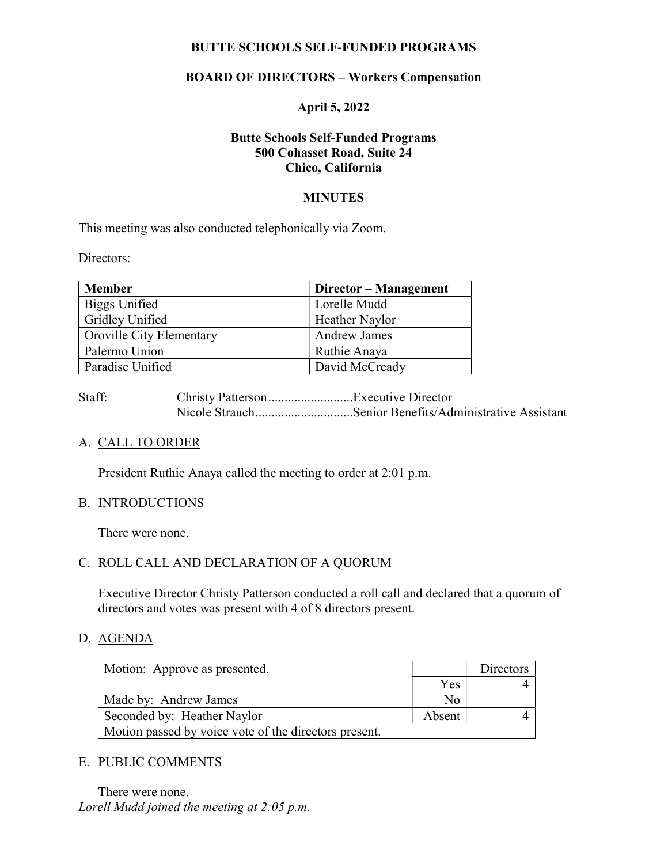# BUTTE SCHOOLS SELF-FUNDED PROGRAMS

# BOARD OF DIRECTORS – Workers Compensation

## April 5, 2022

# Butte Schools Self-Funded Programs 500 Cohasset Road, Suite 24 Chico, California

### MINUTES

This meeting was also conducted telephonically via Zoom.

Directors:

| <b>Member</b>                   | Director - Management |
|---------------------------------|-----------------------|
| Biggs Unified                   | Lorelle Mudd          |
| <b>Gridley Unified</b>          | Heather Naylor        |
| <b>Oroville City Elementary</b> | <b>Andrew James</b>   |
| Palermo Union                   | Ruthie Anaya          |
| Paradise Unified                | David McCready        |

Staff: Christy Patterson ..........................Executive Director Nicole Strauch...............................Senior Benefits/Administrative Assistant

## A. CALL TO ORDER

President Ruthie Anaya called the meeting to order at 2:01 p.m.

#### B. INTRODUCTIONS

There were none.

#### C. ROLL CALL AND DECLARATION OF A QUORUM

Executive Director Christy Patterson conducted a roll call and declared that a quorum of directors and votes was present with 4 of 8 directors present.

#### D. AGENDA

| Motion: Approve as presented.                         |            | Directors |  |  |
|-------------------------------------------------------|------------|-----------|--|--|
|                                                       | <b>Yes</b> |           |  |  |
| Made by: Andrew James                                 | Nο         |           |  |  |
| Seconded by: Heather Naylor                           | Absent     |           |  |  |
| Motion passed by voice vote of the directors present. |            |           |  |  |

#### E. PUBLIC COMMENTS

There were none. Lorell Mudd joined the meeting at 2:05 p.m.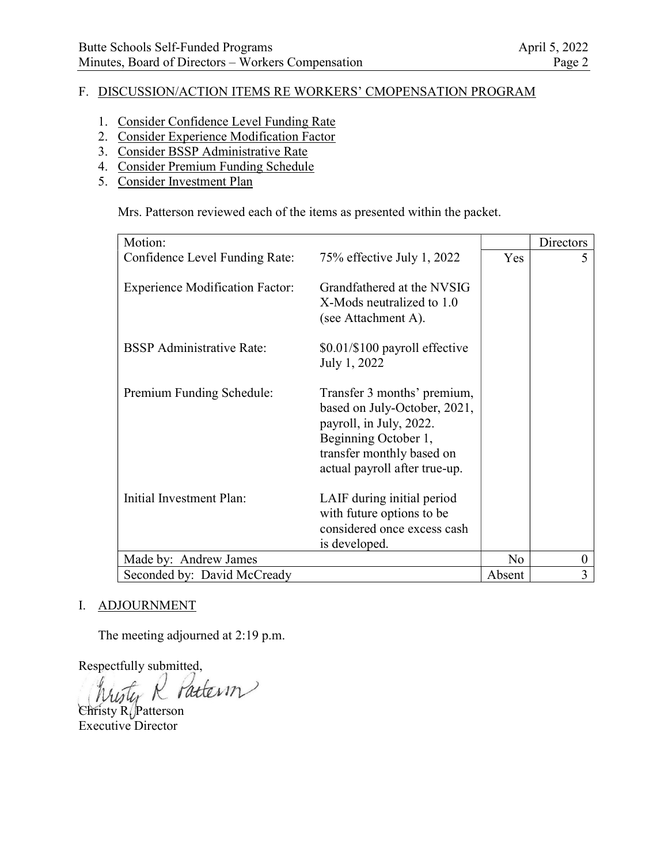# F. DISCUSSION/ACTION ITEMS RE WORKERS' CMOPENSATION PROGRAM

- 1. Consider Confidence Level Funding Rate
- 2. Consider Experience Modification Factor
- 3. Consider BSSP Administrative Rate
- 4. Consider Premium Funding Schedule
- 5. Consider Investment Plan

Mrs. Patterson reviewed each of the items as presented within the packet.

| Motion:                                |                                                                                                                                                                              |                | Directors        |
|----------------------------------------|------------------------------------------------------------------------------------------------------------------------------------------------------------------------------|----------------|------------------|
| Confidence Level Funding Rate:         | 75% effective July 1, 2022                                                                                                                                                   | Yes            | 5                |
| <b>Experience Modification Factor:</b> | Grandfathered at the NVSIG<br>X-Mods neutralized to 1.0<br>(see Attachment A).                                                                                               |                |                  |
| <b>BSSP</b> Administrative Rate:       | \$0.01/\$100 payroll effective<br>July 1, 2022                                                                                                                               |                |                  |
| Premium Funding Schedule:              | Transfer 3 months' premium,<br>based on July-October, 2021,<br>payroll, in July, 2022.<br>Beginning October 1,<br>transfer monthly based on<br>actual payroll after true-up. |                |                  |
| Initial Investment Plan:               | LAIF during initial period<br>with future options to be<br>considered once excess cash<br>is developed.                                                                      |                |                  |
| Made by: Andrew James                  |                                                                                                                                                                              | N <sub>o</sub> | $\boldsymbol{0}$ |
| Seconded by: David McCready            |                                                                                                                                                                              | Absent         | 3                |

## I. ADJOURNMENT

The meeting adjourned at 2:19 p.m.

Respectfully submitted,

Pattern

Christy R. Patterson Executive Director